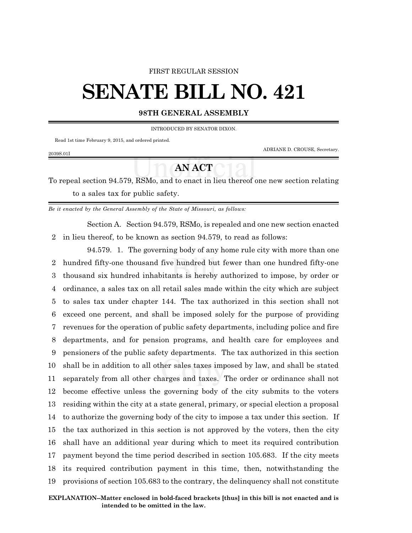#### FIRST REGULAR SESSION

# **SENATE BILL NO. 421**

#### **98TH GENERAL ASSEMBLY**

INTRODUCED BY SENATOR DIXON.

Read 1st time February 9, 2015, and ordered printed.

ADRIANE D. CROUSE, Secretary.

## 2039S.01I

## **AN ACT**

To repeal section 94.579, RSMo, and to enact in lieu thereof one new section relating to a sales tax for public safety.

*Be it enacted by the General Assembly of the State of Missouri, as follows:*

Section A. Section 94.579, RSMo, is repealed and one new section enacted 2 in lieu thereof, to be known as section 94.579, to read as follows:

94.579. 1. The governing body of any home rule city with more than one hundred fifty-one thousand five hundred but fewer than one hundred fifty-one thousand six hundred inhabitants is hereby authorized to impose, by order or ordinance, a sales tax on all retail sales made within the city which are subject to sales tax under chapter 144. The tax authorized in this section shall not exceed one percent, and shall be imposed solely for the purpose of providing revenues for the operation of public safety departments, including police and fire departments, and for pension programs, and health care for employees and pensioners of the public safety departments. The tax authorized in this section shall be in addition to all other sales taxes imposed by law, and shall be stated separately from all other charges and taxes. The order or ordinance shall not become effective unless the governing body of the city submits to the voters residing within the city at a state general, primary, or special election a proposal to authorize the governing body of the city to impose a tax under this section. If the tax authorized in this section is not approved by the voters, then the city shall have an additional year during which to meet its required contribution payment beyond the time period described in section 105.683. If the city meets its required contribution payment in this time, then, notwithstanding the provisions of section 105.683 to the contrary, the delinquency shall not constitute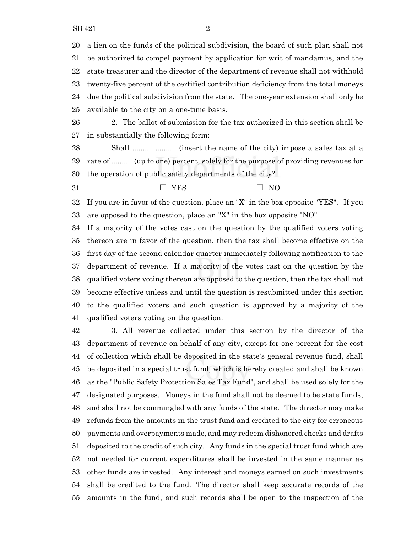a lien on the funds of the political subdivision, the board of such plan shall not be authorized to compel payment by application for writ of mandamus, and the state treasurer and the director of the department of revenue shall not withhold twenty-five percent of the certified contribution deficiency from the total moneys due the political subdivision from the state. The one-year extension shall only be available to the city on a one-time basis.

 2. The ballot of submission for the tax authorized in this section shall be in substantially the following form:

 Shall .................... (insert the name of the city) impose a sales tax at a rate of .......... (up to one) percent, solely for the purpose of providing revenues for the operation of public safety departments of the city?

 $7ES$   $70$ 

 If you are in favor of the question, place an "X" in the box opposite "YES". If you are opposed to the question, place an "X" in the box opposite "NO".

 If a majority of the votes cast on the question by the qualified voters voting thereon are in favor of the question, then the tax shall become effective on the first day of the second calendar quarter immediately following notification to the department of revenue. If a majority of the votes cast on the question by the qualified voters voting thereon are opposed to the question, then the tax shall not become effective unless and until the question is resubmitted under this section to the qualified voters and such question is approved by a majority of the qualified voters voting on the question.

 3. All revenue collected under this section by the director of the department of revenue on behalf of any city, except for one percent for the cost of collection which shall be deposited in the state's general revenue fund, shall be deposited in a special trust fund, which is hereby created and shall be known as the "Public Safety Protection Sales Tax Fund", and shall be used solely for the designated purposes. Moneys in the fund shall not be deemed to be state funds, and shall not be commingled with any funds of the state. The director may make refunds from the amounts in the trust fund and credited to the city for erroneous payments and overpayments made, and may redeem dishonored checks and drafts deposited to the credit of such city. Any funds in the special trust fund which are not needed for current expenditures shall be invested in the same manner as other funds are invested. Any interest and moneys earned on such investments shall be credited to the fund. The director shall keep accurate records of the amounts in the fund, and such records shall be open to the inspection of the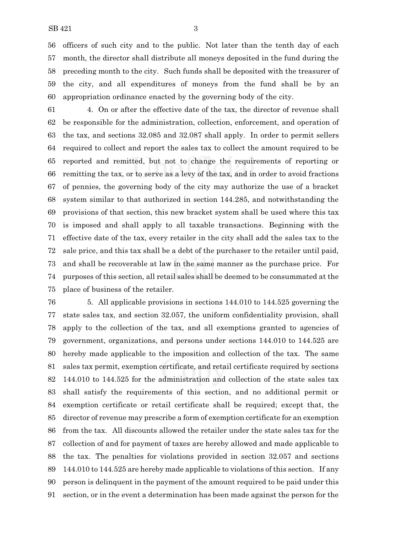officers of such city and to the public. Not later than the tenth day of each month, the director shall distribute all moneys deposited in the fund during the preceding month to the city. Such funds shall be deposited with the treasurer of the city, and all expenditures of moneys from the fund shall be by an appropriation ordinance enacted by the governing body of the city.

 4. On or after the effective date of the tax, the director of revenue shall be responsible for the administration, collection, enforcement, and operation of the tax, and sections 32.085 and 32.087 shall apply. In order to permit sellers required to collect and report the sales tax to collect the amount required to be reported and remitted, but not to change the requirements of reporting or remitting the tax, or to serve as a levy of the tax, and in order to avoid fractions of pennies, the governing body of the city may authorize the use of a bracket system similar to that authorized in section 144.285, and notwithstanding the provisions of that section, this new bracket system shall be used where this tax is imposed and shall apply to all taxable transactions. Beginning with the effective date of the tax, every retailer in the city shall add the sales tax to the sale price, and this tax shall be a debt of the purchaser to the retailer until paid, and shall be recoverable at law in the same manner as the purchase price. For purposes of this section, all retail sales shall be deemed to be consummated at the place of business of the retailer.

 5. All applicable provisions in sections 144.010 to 144.525 governing the state sales tax, and section 32.057, the uniform confidentiality provision, shall apply to the collection of the tax, and all exemptions granted to agencies of government, organizations, and persons under sections 144.010 to 144.525 are hereby made applicable to the imposition and collection of the tax. The same sales tax permit, exemption certificate, and retail certificate required by sections 144.010 to 144.525 for the administration and collection of the state sales tax shall satisfy the requirements of this section, and no additional permit or exemption certificate or retail certificate shall be required; except that, the director of revenue may prescribe a form of exemption certificate for an exemption from the tax. All discounts allowed the retailer under the state sales tax for the collection of and for payment of taxes are hereby allowed and made applicable to the tax. The penalties for violations provided in section 32.057 and sections 144.010 to 144.525 are hereby made applicable to violations of this section. If any person is delinquent in the payment of the amount required to be paid under this section, or in the event a determination has been made against the person for the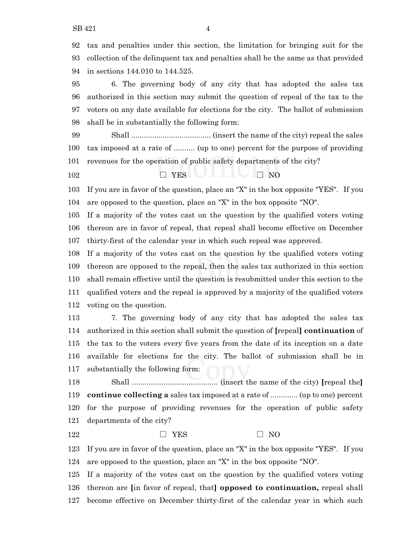tax and penalties under this section, the limitation for bringing suit for the collection of the delinquent tax and penalties shall be the same as that provided in sections 144.010 to 144.525.

 6. The governing body of any city that has adopted the sales tax authorized in this section may submit the question of repeal of the tax to the voters on any date available for elections for the city. The ballot of submission shall be in substantially the following form:

 Shall ...................................... (insert the name of the city) repeal the sales tax imposed at a rate of .......... (up to one) percent for the purpose of providing revenues for the operation of public safety departments of the city?

 $\Box$  YES  $\Box$  NO

 If you are in favor of the question, place an "X" in the box opposite "YES". If you are opposed to the question, place an "X" in the box opposite "NO".

 If a majority of the votes cast on the question by the qualified voters voting thereon are in favor of repeal, that repeal shall become effective on December thirty-first of the calendar year in which such repeal was approved.

 If a majority of the votes cast on the question by the qualified voters voting thereon are opposed to the repeal, then the sales tax authorized in this section shall remain effective until the question is resubmitted under this section to the qualified voters and the repeal is approved by a majority of the qualified voters voting on the question.

 7. The governing body of any city that has adopted the sales tax authorized in this section shall submit the question of **[**repeal**] continuation** of the tax to the voters every five years from the date of its inception on a date available for elections for the city. The ballot of submission shall be in substantially the following form:

 Shall ......................................... (insert the name of the city) **[**repeal the**] continue collecting a** sales tax imposed at a rate of ............. (up to one) percent for the purpose of providing revenues for the operation of public safety departments of the city?

### 122  $\Box$  YES  $\Box$  NO

 If you are in favor of the question, place an "X" in the box opposite "YES". If you are opposed to the question, place an "X" in the box opposite "NO".

 If a majority of the votes cast on the question by the qualified voters voting thereon are **[**in favor of repeal, that**] opposed to continuation,** repeal shall become effective on December thirty-first of the calendar year in which such